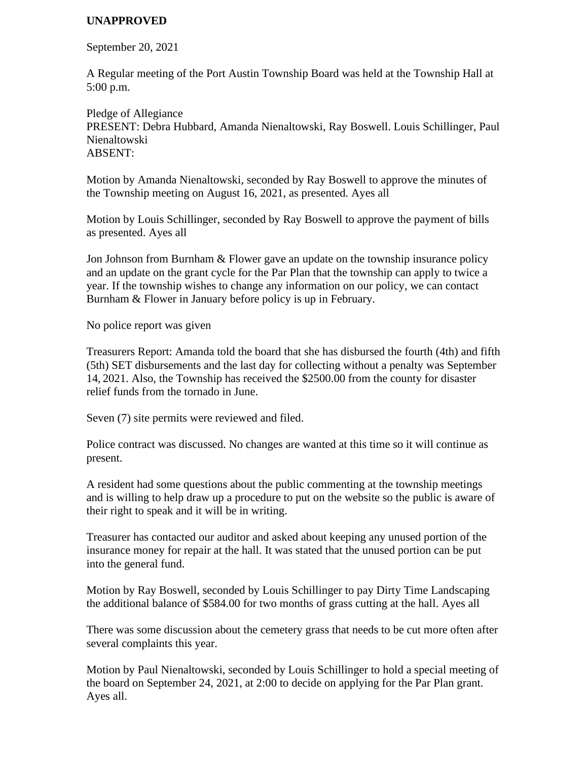## **UNAPPROVED**

September 20, 2021

A Regular meeting of the Port Austin Township Board was held at the Township Hall at 5:00 p.m.

Pledge of Allegiance PRESENT: Debra Hubbard, Amanda Nienaltowski, Ray Boswell. Louis Schillinger, Paul Nienaltowski ABSENT:

Motion by Amanda Nienaltowski, seconded by Ray Boswell to approve the minutes of the Township meeting on August 16, 2021, as presented. Ayes all

Motion by Louis Schillinger, seconded by Ray Boswell to approve the payment of bills as presented. Ayes all

Jon Johnson from Burnham & Flower gave an update on the township insurance policy and an update on the grant cycle for the Par Plan that the township can apply to twice a year. If the township wishes to change any information on our policy, we can contact Burnham & Flower in January before policy is up in February.

No police report was given

Treasurers Report: Amanda told the board that she has disbursed the fourth (4th) and fifth (5th) SET disbursements and the last day for collecting without a penalty was September 14, 2021. Also, the Township has received the \$2500.00 from the county for disaster relief funds from the tornado in June.

Seven (7) site permits were reviewed and filed.

Police contract was discussed. No changes are wanted at this time so it will continue as present.

A resident had some questions about the public commenting at the township meetings and is willing to help draw up a procedure to put on the website so the public is aware of their right to speak and it will be in writing.

Treasurer has contacted our auditor and asked about keeping any unused portion of the insurance money for repair at the hall. It was stated that the unused portion can be put into the general fund.

Motion by Ray Boswell, seconded by Louis Schillinger to pay Dirty Time Landscaping the additional balance of \$584.00 for two months of grass cutting at the hall. Ayes all

There was some discussion about the cemetery grass that needs to be cut more often after several complaints this year.

Motion by Paul Nienaltowski, seconded by Louis Schillinger to hold a special meeting of the board on September 24, 2021, at 2:00 to decide on applying for the Par Plan grant. Ayes all.